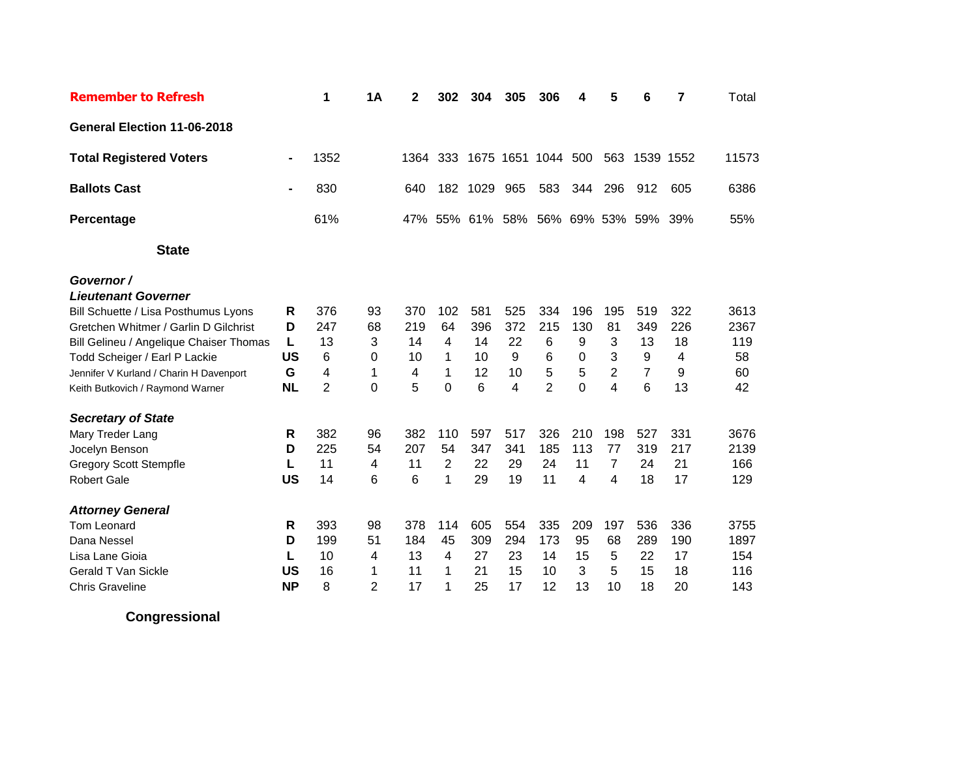| <b>Remember to Refresh</b>                                                                                                                                                                                                                                                                                                                                                                                     |                                                                        | 1                                                                      | 1A                                                        | 2                                                         | 302                                                         | 304                                                         | 305                                                        | 306                                                                   | 4                                                              | 5                                                                 | 6                                                                      | 7                                                          | Total                                                               |
|----------------------------------------------------------------------------------------------------------------------------------------------------------------------------------------------------------------------------------------------------------------------------------------------------------------------------------------------------------------------------------------------------------------|------------------------------------------------------------------------|------------------------------------------------------------------------|-----------------------------------------------------------|-----------------------------------------------------------|-------------------------------------------------------------|-------------------------------------------------------------|------------------------------------------------------------|-----------------------------------------------------------------------|----------------------------------------------------------------|-------------------------------------------------------------------|------------------------------------------------------------------------|------------------------------------------------------------|---------------------------------------------------------------------|
| General Election 11-06-2018                                                                                                                                                                                                                                                                                                                                                                                    |                                                                        |                                                                        |                                                           |                                                           |                                                             |                                                             |                                                            |                                                                       |                                                                |                                                                   |                                                                        |                                                            |                                                                     |
| <b>Total Registered Voters</b>                                                                                                                                                                                                                                                                                                                                                                                 | $\blacksquare$                                                         | 1352                                                                   |                                                           | 1364                                                      | 333                                                         |                                                             |                                                            | 1675 1651 1044                                                        | 500                                                            | 563                                                               | 1539 1552                                                              |                                                            | 11573                                                               |
| <b>Ballots Cast</b>                                                                                                                                                                                                                                                                                                                                                                                            |                                                                        | 830                                                                    |                                                           | 640                                                       | 182                                                         | 1029                                                        | 965                                                        | 583                                                                   | 344                                                            | 296                                                               | 912                                                                    | 605                                                        | 6386                                                                |
| Percentage                                                                                                                                                                                                                                                                                                                                                                                                     |                                                                        | 61%                                                                    |                                                           |                                                           |                                                             | 47% 55% 61%                                                 | 58%                                                        |                                                                       |                                                                |                                                                   | 56% 69% 53% 59% 39%                                                    |                                                            | 55%                                                                 |
| <b>State</b>                                                                                                                                                                                                                                                                                                                                                                                                   |                                                                        |                                                                        |                                                           |                                                           |                                                             |                                                             |                                                            |                                                                       |                                                                |                                                                   |                                                                        |                                                            |                                                                     |
| Governor /<br><b>Lieutenant Governer</b><br>Bill Schuette / Lisa Posthumus Lyons<br>Gretchen Whitmer / Garlin D Gilchrist<br>Bill Gelineu / Angelique Chaiser Thomas<br>Todd Scheiger / Earl P Lackie<br>Jennifer V Kurland / Charin H Davenport<br>Keith Butkovich / Raymond Warner<br><b>Secretary of State</b><br>Mary Treder Lang<br>Jocelyn Benson<br><b>Gregory Scott Stempfle</b><br><b>Robert Gale</b> | R<br>D<br>L<br><b>US</b><br>G<br><b>NL</b><br>R<br>D<br>L<br><b>US</b> | 376<br>247<br>13<br>6<br>4<br>$\overline{2}$<br>382<br>225<br>11<br>14 | 93<br>68<br>3<br>0<br>1<br>$\Omega$<br>96<br>54<br>4<br>6 | 370<br>219<br>14<br>10<br>4<br>5<br>382<br>207<br>11<br>6 | 102<br>64<br>4<br>1<br>1<br>$\Omega$<br>110<br>54<br>2<br>1 | 581<br>396<br>14<br>10<br>12<br>6<br>597<br>347<br>22<br>29 | 525<br>372<br>22<br>9<br>10<br>4<br>517<br>341<br>29<br>19 | 334<br>215<br>6<br>6<br>5<br>$\overline{2}$<br>326<br>185<br>24<br>11 | 196<br>130<br>9<br>$\Omega$<br>5<br>0<br>210<br>113<br>11<br>4 | 195<br>81<br>3<br>3<br>$\overline{2}$<br>4<br>198<br>77<br>7<br>4 | 519<br>349<br>13<br>9<br>$\overline{7}$<br>6<br>527<br>319<br>24<br>18 | 322<br>226<br>18<br>4<br>9<br>13<br>331<br>217<br>21<br>17 | 3613<br>2367<br>119<br>58<br>60<br>42<br>3676<br>2139<br>166<br>129 |
| <b>Attorney General</b><br>Tom Leonard<br>Dana Nessel<br>Lisa Lane Gioia<br><b>Gerald T Van Sickle</b><br><b>Chris Graveline</b>                                                                                                                                                                                                                                                                               | R<br>D<br>L<br>US<br><b>NP</b>                                         | 393<br>199<br>10<br>16<br>8                                            | 98<br>51<br>4<br>1<br>$\overline{2}$                      | 378<br>184<br>13<br>11<br>17                              | 114<br>45<br>$\overline{4}$<br>1<br>1                       | 605<br>309<br>27<br>21<br>25                                | 554<br>294<br>23<br>15<br>17                               | 335<br>173<br>14<br>10<br>12                                          | 209<br>95<br>15<br>3<br>13                                     | 197<br>68<br>5<br>5<br>10                                         | 536<br>289<br>22<br>15<br>18                                           | 336<br>190<br>17<br>18<br>20                               | 3755<br>1897<br>154<br>116<br>143                                   |

**Congressional**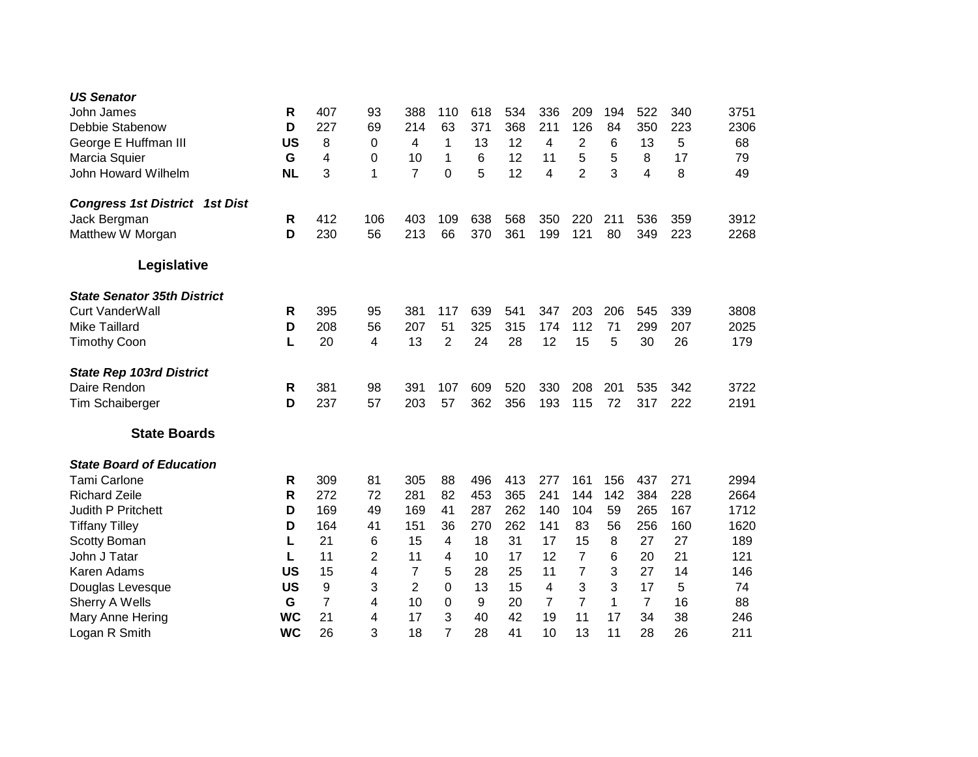| <b>US Senator</b><br>John James<br>Debbie Stabenow<br>George E Huffman III<br>Marcia Squier<br>John Howard Wilhelm | R<br>D<br><b>US</b><br>G<br><b>NL</b> | 407<br>227<br>8<br>4<br>3 | 93<br>69<br>0<br>0<br>1 | 388<br>214<br>4<br>10<br>$\overline{7}$ | 110<br>63<br>1<br>1<br>0 | 618<br>371<br>13<br>6<br>5 | 534<br>368<br>12<br>12<br>12 | 336<br>211<br>4<br>11<br>4 | 209<br>126<br>2<br>5<br>$\overline{2}$ | 194<br>84<br>6<br>5<br>3 | 522<br>350<br>13<br>8<br>4 | 340<br>223<br>5<br>17<br>8 | 3751<br>2306<br>68<br>79<br>49 |
|--------------------------------------------------------------------------------------------------------------------|---------------------------------------|---------------------------|-------------------------|-----------------------------------------|--------------------------|----------------------------|------------------------------|----------------------------|----------------------------------------|--------------------------|----------------------------|----------------------------|--------------------------------|
| <b>Congress 1st District 1st Dist</b>                                                                              |                                       |                           |                         |                                         |                          |                            |                              |                            |                                        |                          |                            |                            |                                |
| Jack Bergman                                                                                                       | $\mathsf{R}$                          | 412                       | 106                     | 403                                     | 109                      | 638                        | 568                          | 350                        | 220                                    | 211                      | 536                        | 359                        | 3912                           |
| Matthew W Morgan                                                                                                   | D                                     | 230                       | 56                      | 213                                     | 66                       | 370                        | 361                          | 199                        | 121                                    | 80                       | 349                        | 223                        | 2268                           |
| Legislative                                                                                                        |                                       |                           |                         |                                         |                          |                            |                              |                            |                                        |                          |                            |                            |                                |
| <b>State Senator 35th District</b>                                                                                 |                                       |                           |                         |                                         |                          |                            |                              |                            |                                        |                          |                            |                            |                                |
| <b>Curt VanderWall</b>                                                                                             | R                                     | 395                       | 95                      | 381                                     | 117                      | 639                        | 541                          | 347                        | 203                                    | 206                      | 545                        | 339                        | 3808                           |
| <b>Mike Taillard</b>                                                                                               | D                                     | 208                       | 56                      | 207                                     | 51                       | 325                        | 315                          | 174                        | 112                                    | 71                       | 299                        | 207                        | 2025                           |
| <b>Timothy Coon</b>                                                                                                | L                                     | 20                        | 4                       | 13                                      | $\overline{2}$           | 24                         | 28                           | 12                         | 15                                     | 5                        | 30                         | 26                         | 179                            |
| <b>State Rep 103rd District</b>                                                                                    |                                       |                           |                         |                                         |                          |                            |                              |                            |                                        |                          |                            |                            |                                |
| Daire Rendon                                                                                                       | R                                     | 381                       | 98                      | 391                                     | 107                      | 609                        | 520                          | 330                        | 208                                    | 201                      | 535                        | 342                        | 3722                           |
| <b>Tim Schaiberger</b>                                                                                             | D                                     | 237                       | 57                      | 203                                     | 57                       | 362                        | 356                          | 193                        | 115                                    | 72                       | 317                        | 222                        | 2191                           |
| <b>State Boards</b>                                                                                                |                                       |                           |                         |                                         |                          |                            |                              |                            |                                        |                          |                            |                            |                                |
| <b>State Board of Education</b>                                                                                    |                                       |                           |                         |                                         |                          |                            |                              |                            |                                        |                          |                            |                            |                                |
| <b>Tami Carlone</b>                                                                                                | R                                     | 309                       | 81                      | 305                                     | 88                       | 496                        | 413                          | 277                        | 161                                    | 156                      | 437                        | 271                        | 2994                           |
| <b>Richard Zeile</b>                                                                                               | R                                     | 272                       | 72                      | 281                                     | 82                       | 453                        | 365                          | 241                        | 144                                    | 142                      | 384                        | 228                        | 2664                           |
| <b>Judith P Pritchett</b>                                                                                          | D                                     | 169                       | 49                      | 169                                     | 41                       | 287                        | 262                          | 140                        | 104                                    | 59                       | 265                        | 167                        | 1712                           |
| <b>Tiffany Tilley</b>                                                                                              | D                                     | 164                       | 41                      | 151                                     | 36                       | 270                        | 262                          | 141                        | 83                                     | 56                       | 256                        | 160                        | 1620                           |
| Scotty Boman                                                                                                       | L                                     | 21                        | 6                       | 15                                      | 4                        | 18                         | 31                           | 17                         | 15                                     | 8                        | 27                         | 27                         | 189                            |
| John J Tatar                                                                                                       | L                                     | 11                        | $\overline{2}$          | 11                                      | 4                        | 10                         | 17                           | 12                         | $\overline{7}$                         | 6                        | 20                         | 21                         | 121                            |
| Karen Adams                                                                                                        | <b>US</b>                             | 15                        | 4                       | $\overline{7}$                          | 5                        | 28                         | 25                           | 11                         | 7                                      | 3                        | 27                         | 14                         | 146                            |
| Douglas Levesque                                                                                                   | <b>US</b>                             | 9                         | 3                       | $\overline{2}$                          | 0                        | 13                         | 15                           | 4                          | 3                                      | 3                        | 17                         | 5                          | 74                             |
| Sherry A Wells                                                                                                     | G                                     | $\overline{7}$            | 4                       | 10                                      | 0                        | 9                          | 20                           | 7                          | $\overline{7}$                         | 1                        | $\overline{7}$             | 16                         | 88                             |
| Mary Anne Hering                                                                                                   | <b>WC</b>                             | 21                        | 4                       | 17                                      | 3                        | 40                         | 42                           | 19                         | 11                                     | 17                       | 34                         | 38                         | 246                            |
| Logan R Smith                                                                                                      | <b>WC</b>                             | 26                        | 3                       | 18                                      | 7                        | 28                         | 41                           | 10                         | 13                                     | 11                       | 28                         | 26                         | 211                            |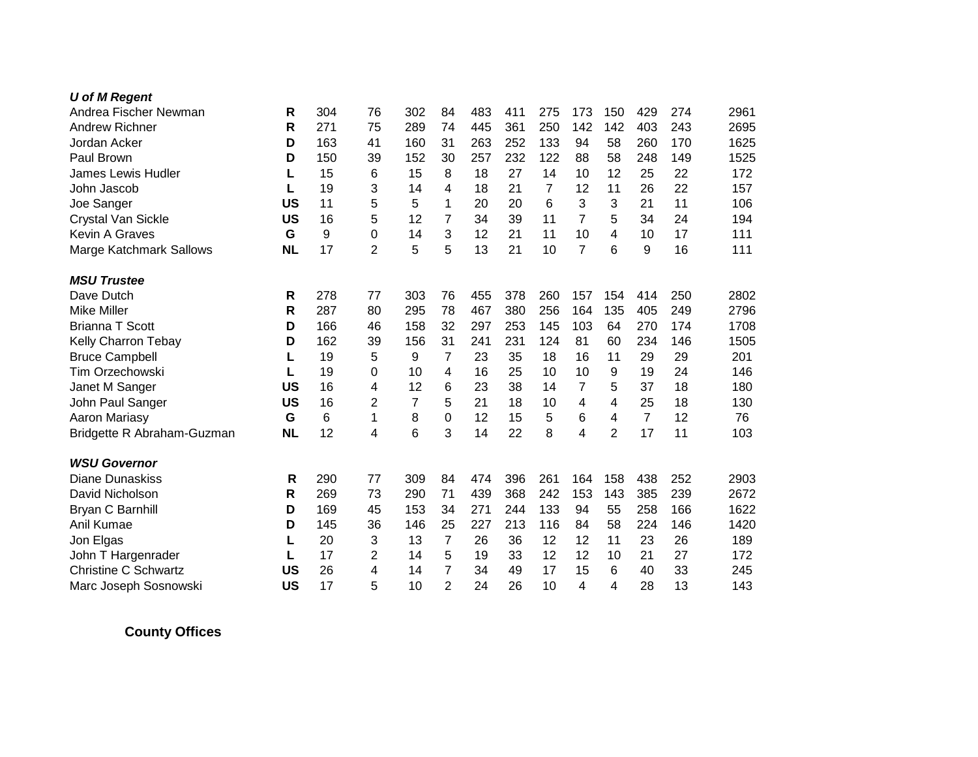| <b>U</b> of M Regent        |           |     |                |     |                |     |     |     |                |                |                |     |      |
|-----------------------------|-----------|-----|----------------|-----|----------------|-----|-----|-----|----------------|----------------|----------------|-----|------|
| Andrea Fischer Newman       | R         | 304 | 76             | 302 | 84             | 483 | 411 | 275 | 173            | 150            | 429            | 274 | 2961 |
| <b>Andrew Richner</b>       | R         | 271 | 75             | 289 | 74             | 445 | 361 | 250 | 142            | 142            | 403            | 243 | 2695 |
| Jordan Acker                | D         | 163 | 41             | 160 | 31             | 263 | 252 | 133 | 94             | 58             | 260            | 170 | 1625 |
| Paul Brown                  | D         | 150 | 39             | 152 | 30             | 257 | 232 | 122 | 88             | 58             | 248            | 149 | 1525 |
| <b>James Lewis Hudler</b>   | L         | 15  | 6              | 15  | 8              | 18  | 27  | 14  | 10             | 12             | 25             | 22  | 172  |
| John Jascob                 | L         | 19  | 3              | 14  | 4              | 18  | 21  | 7   | 12             | 11             | 26             | 22  | 157  |
| Joe Sanger                  | <b>US</b> | 11  | 5              | 5   | 1              | 20  | 20  | 6   | 3              | 3              | 21             | 11  | 106  |
| Crystal Van Sickle          | <b>US</b> | 16  | 5              | 12  | 7              | 34  | 39  | 11  | 7              | 5              | 34             | 24  | 194  |
| <b>Kevin A Graves</b>       | G         | 9   | $\overline{0}$ | 14  | 3              | 12  | 21  | 11  | 10             | 4              | 10             | 17  | 111  |
| Marge Katchmark Sallows     | <b>NL</b> | 17  | $\overline{2}$ | 5   | 5              | 13  | 21  | 10  | $\overline{7}$ | 6              | 9              | 16  | 111  |
| <b>MSU Trustee</b>          |           |     |                |     |                |     |     |     |                |                |                |     |      |
| Dave Dutch                  | R         | 278 | 77             | 303 | 76             | 455 | 378 | 260 | 157            | 154            | 414            | 250 | 2802 |
| <b>Mike Miller</b>          | R         | 287 | 80             | 295 | 78             | 467 | 380 | 256 | 164            | 135            | 405            | 249 | 2796 |
| <b>Brianna T Scott</b>      | D         | 166 | 46             | 158 | 32             | 297 | 253 | 145 | 103            | 64             | 270            | 174 | 1708 |
| Kelly Charron Tebay         | D         | 162 | 39             | 156 | 31             | 241 | 231 | 124 | 81             | 60             | 234            | 146 | 1505 |
| <b>Bruce Campbell</b>       | L         | 19  | 5              | 9   | 7              | 23  | 35  | 18  | 16             | 11             | 29             | 29  | 201  |
| Tim Orzechowski             | L         | 19  | 0              | 10  | 4              | 16  | 25  | 10  | 10             | 9              | 19             | 24  | 146  |
| Janet M Sanger              | <b>US</b> | 16  | 4              | 12  | 6              | 23  | 38  | 14  | $\overline{7}$ | 5              | 37             | 18  | 180  |
| John Paul Sanger            | <b>US</b> | 16  | $\overline{2}$ | 7   | 5              | 21  | 18  | 10  | 4              | 4              | 25             | 18  | 130  |
| Aaron Mariasy               | G         | 6   | 1              | 8   | 0              | 12  | 15  | 5   | 6              | 4              | $\overline{7}$ | 12  | 76   |
| Bridgette R Abraham-Guzman  | <b>NL</b> | 12  | 4              | 6   | 3              | 14  | 22  | 8   | 4              | $\overline{2}$ | 17             | 11  | 103  |
| <b>WSU Governor</b>         |           |     |                |     |                |     |     |     |                |                |                |     |      |
| <b>Diane Dunaskiss</b>      | R         | 290 | 77             | 309 | 84             | 474 | 396 | 261 | 164            | 158            | 438            | 252 | 2903 |
| David Nicholson             | R         | 269 | 73             | 290 | 71             | 439 | 368 | 242 | 153            | 143            | 385            | 239 | 2672 |
| Bryan C Barnhill            | D         | 169 | 45             | 153 | 34             | 271 | 244 | 133 | 94             | 55             | 258            | 166 | 1622 |
| Anil Kumae                  | D         | 145 | 36             | 146 | 25             | 227 | 213 | 116 | 84             | 58             | 224            | 146 | 1420 |
| Jon Elgas                   | L         | 20  | 3              | 13  | 7              | 26  | 36  | 12  | 12             | 11             | 23             | 26  | 189  |
| John T Hargenrader          | L         | 17  | 2              | 14  | 5              | 19  | 33  | 12  | 12             | 10             | 21             | 27  | 172  |
| <b>Christine C Schwartz</b> | <b>US</b> | 26  | 4              | 14  | $\overline{7}$ | 34  | 49  | 17  | 15             | 6              | 40             | 33  | 245  |
| Marc Joseph Sosnowski       | <b>US</b> | 17  | 5              | 10  | $\overline{2}$ | 24  | 26  | 10  | 4              | 4              | 28             | 13  | 143  |

**County Offices**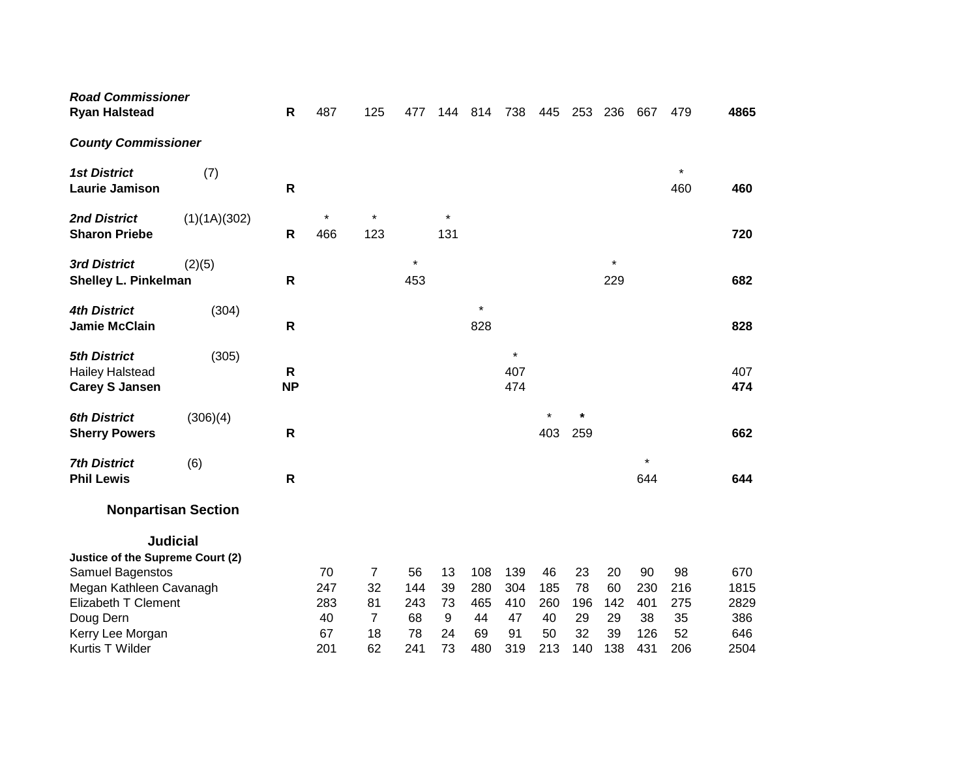| <b>Road Commissioner</b><br><b>Ryan Halstead</b>                                                                       |              | $\mathsf{R}$              | 487                                 | 125                                         | 477                                 | 144                             | 814                                  | 738                                  | 445                                 | 253                                | 236                                | 667                                  | 479                                 | 4865                                      |
|------------------------------------------------------------------------------------------------------------------------|--------------|---------------------------|-------------------------------------|---------------------------------------------|-------------------------------------|---------------------------------|--------------------------------------|--------------------------------------|-------------------------------------|------------------------------------|------------------------------------|--------------------------------------|-------------------------------------|-------------------------------------------|
| <b>County Commissioner</b>                                                                                             |              |                           |                                     |                                             |                                     |                                 |                                      |                                      |                                     |                                    |                                    |                                      |                                     |                                           |
| <b>1st District</b><br><b>Laurie Jamison</b>                                                                           | (7)          | $\mathsf{R}$              |                                     |                                             |                                     |                                 |                                      |                                      |                                     |                                    |                                    |                                      | $\star$<br>460                      | 460                                       |
| <b>2nd District</b><br><b>Sharon Priebe</b>                                                                            | (1)(1A)(302) | R                         | $\star$<br>466                      | $\star$<br>123                              |                                     | $\star$<br>131                  |                                      |                                      |                                     |                                    |                                    |                                      |                                     | 720                                       |
| 3rd District<br><b>Shelley L. Pinkelman</b>                                                                            | (2)(5)       | R                         |                                     |                                             | $\star$<br>453                      |                                 |                                      |                                      |                                     |                                    | $\star$<br>229                     |                                      |                                     | 682                                       |
| <b>4th District</b><br><b>Jamie McClain</b>                                                                            | (304)        | $\mathsf{R}$              |                                     |                                             |                                     |                                 | $\star$<br>828                       |                                      |                                     |                                    |                                    |                                      |                                     | 828                                       |
| <b>5th District</b><br><b>Hailey Halstead</b><br><b>Carey S Jansen</b>                                                 | (305)        | $\mathsf{R}$<br><b>NP</b> |                                     |                                             |                                     |                                 |                                      | $\star$<br>407<br>474                |                                     |                                    |                                    |                                      |                                     | 407<br>474                                |
| <b>6th District</b><br><b>Sherry Powers</b>                                                                            | (306)(4)     | R                         |                                     |                                             |                                     |                                 |                                      |                                      | 403                                 | $\star$<br>259                     |                                    |                                      |                                     | 662                                       |
| <b>7th District</b><br><b>Phil Lewis</b>                                                                               | (6)          | $\mathsf{R}$              |                                     |                                             |                                     |                                 |                                      |                                      |                                     |                                    |                                    | $\star$<br>644                       |                                     | 644                                       |
| <b>Nonpartisan Section</b>                                                                                             |              |                           |                                     |                                             |                                     |                                 |                                      |                                      |                                     |                                    |                                    |                                      |                                     |                                           |
| <b>Judicial</b><br>Justice of the Supreme Court (2)                                                                    |              |                           |                                     |                                             |                                     |                                 |                                      |                                      |                                     |                                    |                                    |                                      |                                     |                                           |
| Samuel Bagenstos<br>Megan Kathleen Cavanagh<br>Elizabeth T Clement<br>Doug Dern<br>Kerry Lee Morgan<br>Kurtis T Wilder |              |                           | 70<br>247<br>283<br>40<br>67<br>201 | 7<br>32<br>81<br>$\overline{7}$<br>18<br>62 | 56<br>144<br>243<br>68<br>78<br>241 | 13<br>39<br>73<br>9<br>24<br>73 | 108<br>280<br>465<br>44<br>69<br>480 | 139<br>304<br>410<br>47<br>91<br>319 | 46<br>185<br>260<br>40<br>50<br>213 | 23<br>78<br>196<br>29<br>32<br>140 | 20<br>60<br>142<br>29<br>39<br>138 | 90<br>230<br>401<br>38<br>126<br>431 | 98<br>216<br>275<br>35<br>52<br>206 | 670<br>1815<br>2829<br>386<br>646<br>2504 |
|                                                                                                                        |              |                           |                                     |                                             |                                     |                                 |                                      |                                      |                                     |                                    |                                    |                                      |                                     |                                           |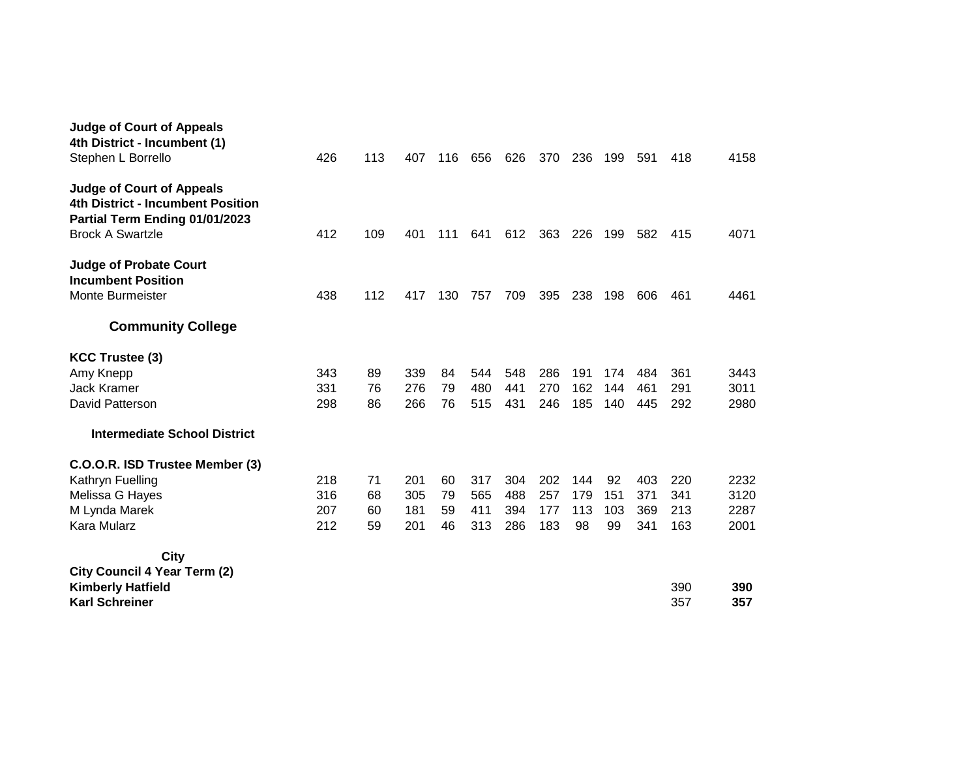| <b>Judge of Court of Appeals</b><br>4th District - Incumbent (1)                                                                   |     |     |     |     |     |     |     |     |     |     |     |      |
|------------------------------------------------------------------------------------------------------------------------------------|-----|-----|-----|-----|-----|-----|-----|-----|-----|-----|-----|------|
| Stephen L Borrello                                                                                                                 | 426 | 113 | 407 | 116 | 656 | 626 | 370 | 236 | 199 | 591 | 418 | 4158 |
| <b>Judge of Court of Appeals</b><br>4th District - Incumbent Position<br>Partial Term Ending 01/01/2023<br><b>Brock A Swartzle</b> | 412 | 109 | 401 | 111 | 641 | 612 | 363 | 226 | 199 | 582 | 415 | 4071 |
| <b>Judge of Probate Court</b><br><b>Incumbent Position</b><br>Monte Burmeister                                                     | 438 | 112 | 417 | 130 | 757 | 709 | 395 | 238 | 198 | 606 | 461 | 4461 |
| <b>Community College</b>                                                                                                           |     |     |     |     |     |     |     |     |     |     |     |      |
| <b>KCC Trustee (3)</b>                                                                                                             |     |     |     |     |     |     |     |     |     |     |     |      |
| Amy Knepp                                                                                                                          | 343 | 89  | 339 | 84  | 544 | 548 | 286 | 191 | 174 | 484 | 361 | 3443 |
| <b>Jack Kramer</b>                                                                                                                 | 331 | 76  | 276 | 79  | 480 | 441 | 270 | 162 | 144 | 461 | 291 | 3011 |
| David Patterson                                                                                                                    | 298 | 86  | 266 | 76  | 515 | 431 | 246 | 185 | 140 | 445 | 292 | 2980 |
| <b>Intermediate School District</b>                                                                                                |     |     |     |     |     |     |     |     |     |     |     |      |
| C.O.O.R. ISD Trustee Member (3)                                                                                                    |     |     |     |     |     |     |     |     |     |     |     |      |
| Kathryn Fuelling                                                                                                                   | 218 | 71  | 201 | 60  | 317 | 304 | 202 | 144 | 92  | 403 | 220 | 2232 |
| Melissa G Hayes                                                                                                                    | 316 | 68  | 305 | 79  | 565 | 488 | 257 | 179 | 151 | 371 | 341 | 3120 |
| M Lynda Marek                                                                                                                      | 207 | 60  | 181 | 59  | 411 | 394 | 177 | 113 | 103 | 369 | 213 | 2287 |
| Kara Mularz                                                                                                                        | 212 | 59  | 201 | 46  | 313 | 286 | 183 | 98  | 99  | 341 | 163 | 2001 |
| City                                                                                                                               |     |     |     |     |     |     |     |     |     |     |     |      |
| <b>City Council 4 Year Term (2)</b>                                                                                                |     |     |     |     |     |     |     |     |     |     |     |      |
| <b>Kimberly Hatfield</b>                                                                                                           |     |     |     |     |     |     |     |     |     |     | 390 | 390  |
| <b>Karl Schreiner</b>                                                                                                              |     |     |     |     |     |     |     |     |     |     | 357 | 357  |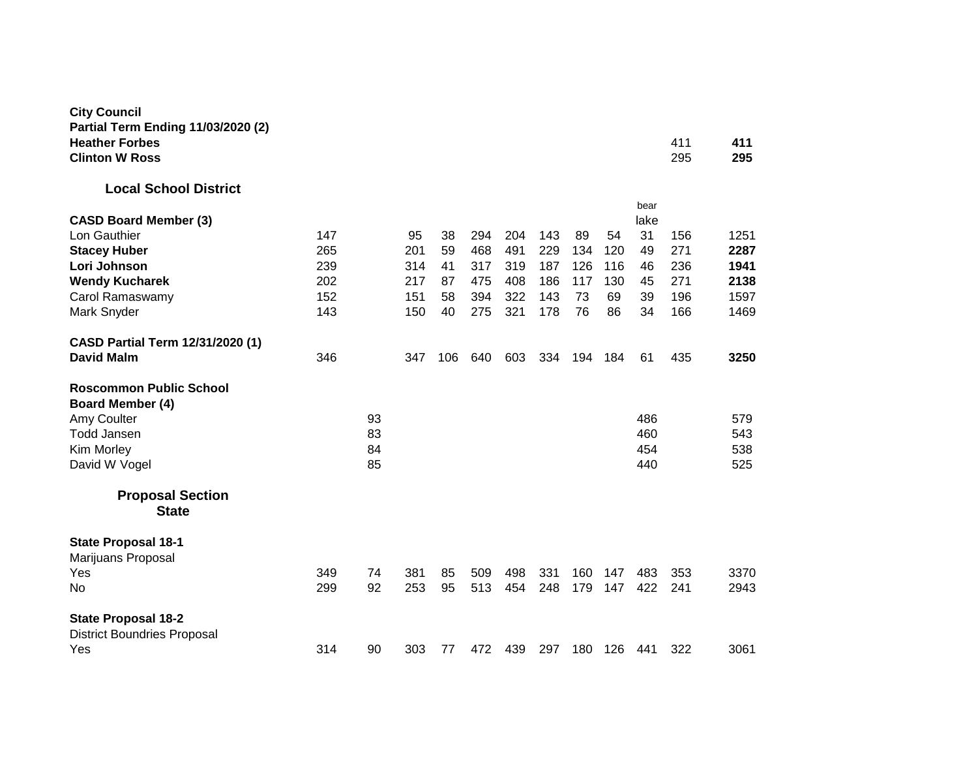| <b>City Council</b>                                       |     |    |     |     |     |     |     |     |     |              |     |      |
|-----------------------------------------------------------|-----|----|-----|-----|-----|-----|-----|-----|-----|--------------|-----|------|
| Partial Term Ending 11/03/2020 (2)                        |     |    |     |     |     |     |     |     |     |              |     |      |
| <b>Heather Forbes</b>                                     |     |    |     |     |     |     |     |     |     |              | 411 | 411  |
| <b>Clinton W Ross</b>                                     |     |    |     |     |     |     |     |     |     |              | 295 | 295  |
| <b>Local School District</b>                              |     |    |     |     |     |     |     |     |     |              |     |      |
| <b>CASD Board Member (3)</b>                              |     |    |     |     |     |     |     |     |     | bear<br>lake |     |      |
| Lon Gauthier                                              | 147 |    | 95  | 38  | 294 | 204 | 143 | 89  | 54  | 31           | 156 | 1251 |
| <b>Stacey Huber</b>                                       | 265 |    | 201 | 59  | 468 | 491 | 229 | 134 | 120 | 49           | 271 | 2287 |
| Lori Johnson                                              | 239 |    | 314 | 41  | 317 | 319 | 187 | 126 | 116 | 46           | 236 | 1941 |
| <b>Wendy Kucharek</b>                                     | 202 |    | 217 | 87  | 475 | 408 | 186 | 117 | 130 | 45           | 271 | 2138 |
| Carol Ramaswamy                                           | 152 |    | 151 | 58  | 394 | 322 | 143 | 73  | 69  | 39           | 196 | 1597 |
| Mark Snyder                                               | 143 |    | 150 | 40  | 275 | 321 | 178 | 76  | 86  | 34           | 166 | 1469 |
| CASD Partial Term 12/31/2020 (1)                          |     |    |     |     |     |     |     |     |     |              |     |      |
| <b>David Malm</b>                                         | 346 |    | 347 | 106 | 640 | 603 | 334 | 194 | 184 | 61           | 435 | 3250 |
| <b>Roscommon Public School</b><br><b>Board Member (4)</b> |     |    |     |     |     |     |     |     |     |              |     |      |
| Amy Coulter                                               |     | 93 |     |     |     |     |     |     |     | 486          |     | 579  |
| <b>Todd Jansen</b>                                        |     | 83 |     |     |     |     |     |     |     | 460          |     | 543  |
| Kim Morley                                                |     | 84 |     |     |     |     |     |     |     | 454          |     | 538  |
| David W Vogel                                             |     | 85 |     |     |     |     |     |     |     | 440          |     | 525  |
| <b>Proposal Section</b>                                   |     |    |     |     |     |     |     |     |     |              |     |      |
| <b>State</b>                                              |     |    |     |     |     |     |     |     |     |              |     |      |
| <b>State Proposal 18-1</b>                                |     |    |     |     |     |     |     |     |     |              |     |      |
| Marijuans Proposal                                        |     |    |     |     |     |     |     |     |     |              |     |      |
| Yes                                                       | 349 | 74 | 381 | 85  | 509 | 498 | 331 | 160 | 147 | 483          | 353 | 3370 |
| No                                                        | 299 | 92 | 253 | 95  | 513 | 454 | 248 | 179 | 147 | 422          | 241 | 2943 |
| <b>State Proposal 18-2</b>                                |     |    |     |     |     |     |     |     |     |              |     |      |
| <b>District Boundries Proposal</b>                        |     |    |     |     |     |     |     |     |     |              |     |      |
| Yes                                                       | 314 | 90 | 303 | 77  | 472 | 439 | 297 | 180 | 126 | 441          | 322 | 3061 |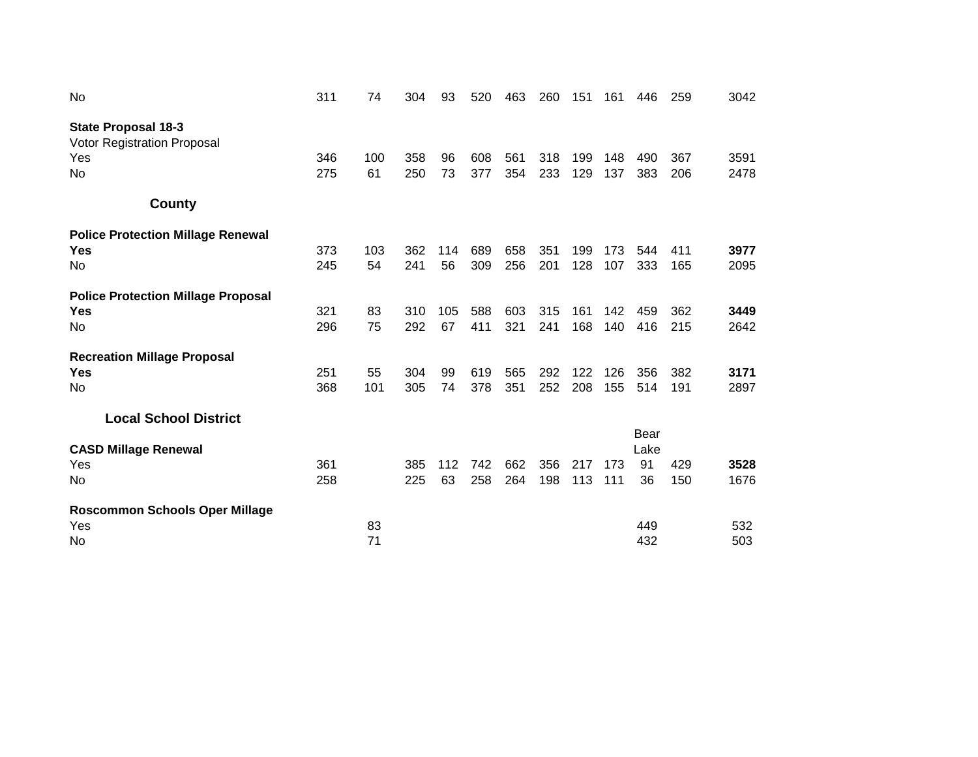| No                                                                                   | 311        | 74        | 304        | 93        | 520        | 463        | 260        | 151        | 161        | 446              | 259        | 3042         |
|--------------------------------------------------------------------------------------|------------|-----------|------------|-----------|------------|------------|------------|------------|------------|------------------|------------|--------------|
| <b>State Proposal 18-3</b><br><b>Votor Registration Proposal</b><br>Yes<br><b>No</b> | 346<br>275 | 100<br>61 | 358<br>250 | 96<br>73  | 608<br>377 | 561<br>354 | 318<br>233 | 199<br>129 | 148<br>137 | 490<br>383       | 367<br>206 | 3591<br>2478 |
| County                                                                               |            |           |            |           |            |            |            |            |            |                  |            |              |
| <b>Police Protection Millage Renewal</b><br><b>Yes</b><br>No                         | 373<br>245 | 103<br>54 | 362<br>241 | 114<br>56 | 689<br>309 | 658<br>256 | 351<br>201 | 199<br>128 | 173<br>107 | 544<br>333       | 411<br>165 | 3977<br>2095 |
| <b>Police Protection Millage Proposal</b><br><b>Yes</b><br>No                        | 321<br>296 | 83<br>75  | 310<br>292 | 105<br>67 | 588<br>411 | 603<br>321 | 315<br>241 | 161<br>168 | 142<br>140 | 459<br>416       | 362<br>215 | 3449<br>2642 |
| <b>Recreation Millage Proposal</b><br><b>Yes</b><br>No                               | 251<br>368 | 55<br>101 | 304<br>305 | 99<br>74  | 619<br>378 | 565<br>351 | 292<br>252 | 122<br>208 | 126<br>155 | 356<br>514       | 382<br>191 | 3171<br>2897 |
| <b>Local School District</b>                                                         |            |           |            |           |            |            |            |            |            | Bear             |            |              |
| <b>CASD Millage Renewal</b><br>Yes<br>No                                             | 361<br>258 |           | 385<br>225 | 112<br>63 | 742<br>258 | 662<br>264 | 356<br>198 | 217<br>113 | 173<br>111 | Lake<br>91<br>36 | 429<br>150 | 3528<br>1676 |
| <b>Roscommon Schools Oper Millage</b><br>Yes<br>No.                                  |            | 83<br>71  |            |           |            |            |            |            |            | 449<br>432       |            | 532<br>503   |